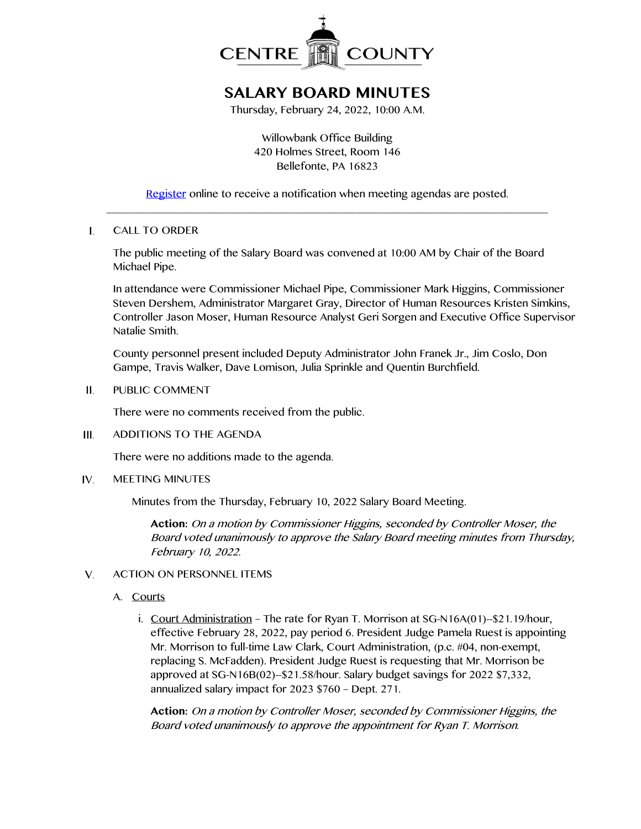

## **SALARY BOARD MINUTES**

Thursday, February 24, 2022, 10:00 A.M.

Willowbank Office Building 420 Holmes Street, Room 146 Bellefonte, PA 16823

[Register](http://www.centrecountypa.gov/AgendaCenter) online to receive a notification when meeting agendas are posted. \_\_\_\_\_\_\_\_\_\_\_\_\_\_\_\_\_\_\_\_\_\_\_\_\_\_\_\_\_\_\_\_\_\_\_\_\_\_\_\_\_\_\_\_\_\_\_\_\_\_\_\_\_\_\_\_\_\_\_\_\_\_\_\_\_\_\_\_\_\_\_\_\_\_\_\_\_\_

 $\mathbf{I}$ . CALL TO ORDER

> The public meeting of the Salary Board was convened at 10:00 AM by Chair of the Board Michael Pipe.

In attendance were Commissioner Michael Pipe, Commissioner Mark Higgins, Commissioner Steven Dershem, Administrator Margaret Gray, Director of Human Resources Kristen Simkins, Controller Jason Moser, Human Resource Analyst Geri Sorgen and Executive Office Supervisor Natalie Smith.

County personnel present included Deputy Administrator John Franek Jr., Jim Coslo, Don Gampe, Travis Walker, Dave Lomison, Julia Sprinkle and Quentin Burchfield.

Ш. PUBLIC COMMENT

There were no comments received from the public.

 $III$ ADDITIONS TO THE AGENDA

There were no additions made to the agenda.

IV. MEETING MINUTES

Minutes from the Thursday, February 10, 2022 Salary Board Meeting.

**Action:** On a motion by Commissioner Higgins, seconded by Controller Moser, the Board voted unanimously to approve the Salary Board meeting minutes from Thursday, February 10, 2022.

## ACTION ON PERSONNEL ITEMS  $V_{1}$

- A. Courts
	- i. Court Administration The rate for Ryan T. Morrison at SG-N16A(01)--\$21.19/hour, effective February 28, 2022, pay period 6. President Judge Pamela Ruest is appointing Mr. Morrison to full-time Law Clark, Court Administration, (p.c. #04, non-exempt, replacing S. McFadden). President Judge Ruest is requesting that Mr. Morrison be approved at SG-N16B(02)--\$21.58/hour. Salary budget savings for 2022 \$7,332, annualized salary impact for 2023 \$760 – Dept. 271.

**Action:** On a motion by Controller Moser, seconded by Commissioner Higgins, the Board voted unanimously to approve the appointment for Ryan T. Morrison.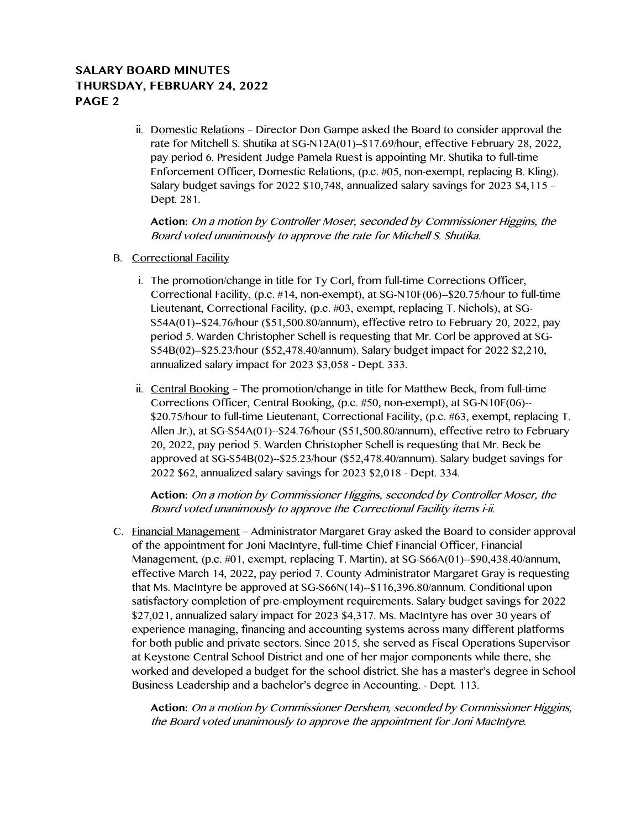## **SALARY BOARD MINUTES THURSDAY, FEBRUARY 24, 2022 PAGE 2**

ii. Domestic Relations – Director Don Gampe asked the Board to consider approval the rate for Mitchell S. Shutika at SG-N12A(01)--\$17.69/hour, effective February 28, 2022, pay period 6. President Judge Pamela Ruest is appointing Mr. Shutika to full-time Enforcement Officer, Domestic Relations, (p.c. #05, non-exempt, replacing B. Kling). Salary budget savings for 2022 \$10,748, annualized salary savings for 2023 \$4,115 – Dept. 281.

**Action:** On a motion by Controller Moser, seconded by Commissioner Higgins, the Board voted unanimously to approve the rate for Mitchell S. Shutika.

- B. Correctional Facility
	- i. The promotion/change in title for Ty Corl, from full-time Corrections Officer, Correctional Facility, (p.c. #14, non-exempt), at SG-N10F(06)--\$20.75/hour to full-time Lieutenant, Correctional Facility, (p.c. #03, exempt, replacing T. Nichols), at SG-S54A(01)--\$24.76/hour (\$51,500.80/annum), effective retro to February 20, 2022, pay period 5. Warden Christopher Schell is requesting that Mr. Corl be approved at SG-S54B(02)--\$25.23/hour (\$52,478.40/annum). Salary budget impact for 2022 \$2,210, annualized salary impact for 2023 \$3,058 - Dept. 333.
	- ii. Central Booking The promotion/change in title for Matthew Beck, from full-time Corrections Officer, Central Booking, (p.c. #50, non-exempt), at SG-N10F(06)-- \$20.75/hour to full-time Lieutenant, Correctional Facility, (p.c. #63, exempt, replacing T. Allen Jr.), at SG-S54A(01)--\$24.76/hour (\$51,500.80/annum), effective retro to February 20, 2022, pay period 5. Warden Christopher Schell is requesting that Mr. Beck be approved at SG-S54B(02)--\$25.23/hour (\$52,478.40/annum). Salary budget savings for 2022 \$62, annualized salary savings for 2023 \$2,018 - Dept. 334.

**Action:** On a motion by Commissioner Higgins, seconded by Controller Moser, the Board voted unanimously to approve the Correctional Facility items i-ii.

C. Financial Management – Administrator Margaret Gray asked the Board to consider approval of the appointment for Joni MacIntyre, full-time Chief Financial Officer, Financial Management, (p.c. #01, exempt, replacing T. Martin), at SG-S66A(01)--\$90,438.40/annum, effective March 14, 2022, pay period 7. County Administrator Margaret Gray is requesting that Ms. MacIntyre be approved at SG-S66N(14)--\$116,396.80/annum. Conditional upon satisfactory completion of pre-employment requirements. Salary budget savings for 2022 \$27,021, annualized salary impact for 2023 \$4,317. Ms. MacIntyre has over 30 years of experience managing, financing and accounting systems across many different platforms for both public and private sectors. Since 2015, she served as Fiscal Operations Supervisor at Keystone Central School District and one of her major components while there, she worked and developed a budget for the school district. She has a master's degree in School Business Leadership and a bachelor's degree in Accounting. - Dept. 113.

**Action:** On a motion by Commissioner Dershem, seconded by Commissioner Higgins, the Board voted unanimously to approve the appointment for Joni MacIntyre.